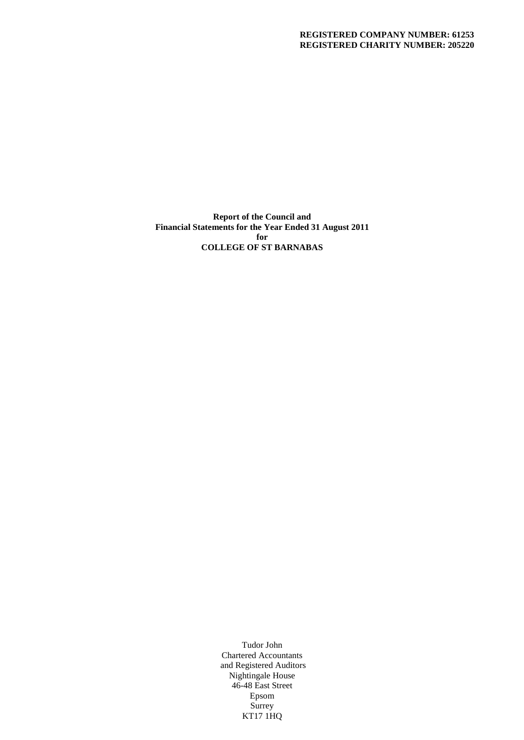## **REGISTERED COMPANY NUMBER: 61253 REGISTERED CHARITY NUMBER: 205220**

**Report of the Council and Financial Statements for the Year Ended 31 August 2011 for COLLEGE OF ST BARNABAS**

> Tudor John Chartered Accountants and Registered Auditors Nightingale House 46-48 East Street Epsom Surrey KT17 1HQ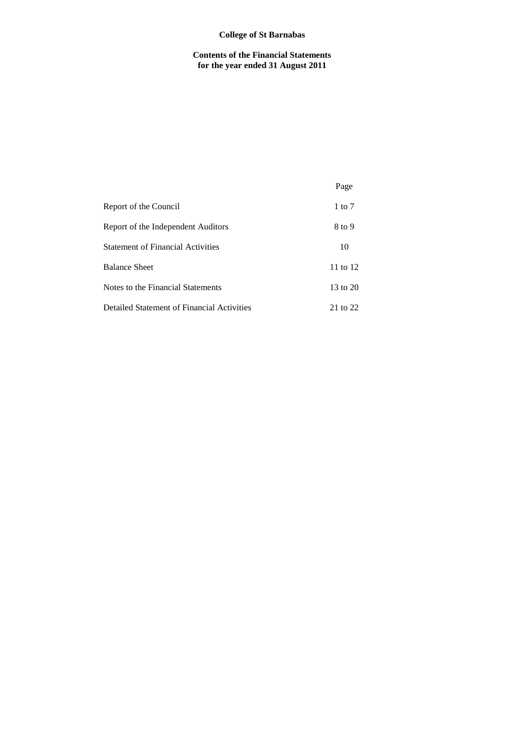## **College of St Barnabas**

**Contents of the Financial Statements for the year ended 31 August 2011**

|                                            | Page     |
|--------------------------------------------|----------|
| Report of the Council                      | 1 to $7$ |
| Report of the Independent Auditors         | 8 to 9   |
| <b>Statement of Financial Activities</b>   | 10       |
| <b>Balance Sheet</b>                       | 11 to 12 |
| Notes to the Financial Statements          | 13 to 20 |
| Detailed Statement of Financial Activities | 21 to 22 |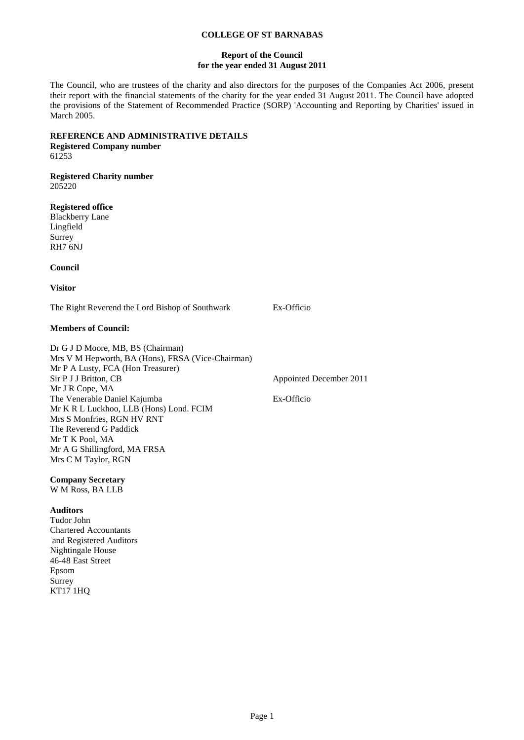## **Report of the Council for the year ended 31 August 2011**

The Council, who are trustees of the charity and also directors for the purposes of the Companies Act 2006, present their report with the financial statements of the charity for the year ended 31 August 2011. The Council have adopted the provisions of the Statement of Recommended Practice (SORP) 'Accounting and Reporting by Charities' issued in March 2005.

# **REFERENCE AND ADMINISTRATIVE DETAILS**

**Registered Company number** 61253

#### **Registered Charity number** 205220

**Registered office**

Blackberry Lane Lingfield Surrey RH7 6NJ

**Council**

**Visitor**

The Right Reverend the Lord Bishop of Southwark Ex-Officio

## **Members of Council:**

Dr G J D Moore, MB, BS (Chairman) Mrs V M Hepworth, BA (Hons), FRSA (Vice-Chairman) Mr P A Lusty, FCA (Hon Treasurer) Sir P J J Britton, CB Appointed December 2011 Mr J R Cope, MA The Venerable Daniel Kajumba Ex-Officio Mr K R L Luckhoo, LLB (Hons) Lond. FCIM Mrs S Monfries, RGN HV RNT The Reverend G Paddick Mr T K Pool, MA Mr A G Shillingford, MA FRSA Mrs C M Taylor, RGN

**Company Secretary** W M Ross, BA LLB

## **Auditors**

Tudor John Chartered Accountants and Registered Auditors Nightingale House 46-48 East Street Epsom Surrey KT17 1HQ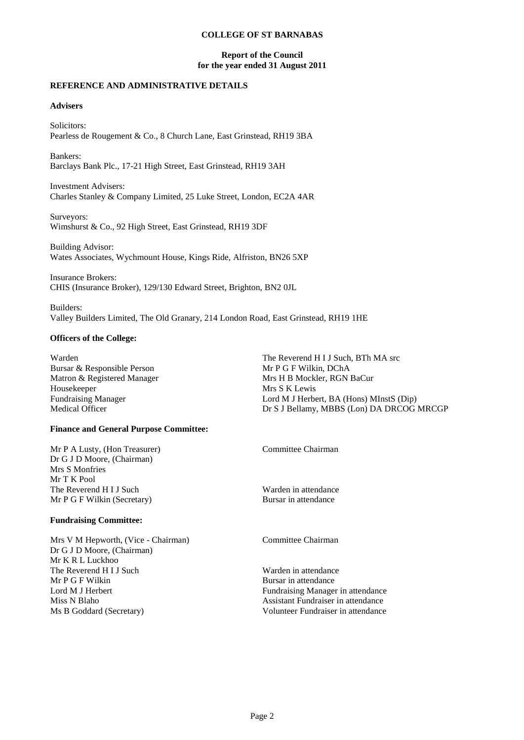## **Report of the Council for the year ended 31 August 2011**

## **REFERENCE AND ADMINISTRATIVE DETAILS**

## **Advisers**

Solicitors: Pearless de Rougement & Co., 8 Church Lane, East Grinstead, RH19 3BA

Bankers: Barclays Bank Plc., 17-21 High Street, East Grinstead, RH19 3AH

Investment Advisers: Charles Stanley & Company Limited, 25 Luke Street, London, EC2A 4AR

Surveyors: Wimshurst & Co., 92 High Street, East Grinstead, RH19 3DF

Building Advisor: Wates Associates, Wychmount House, Kings Ride, Alfriston, BN26 5XP

Insurance Brokers: CHIS (Insurance Broker), 129/130 Edward Street, Brighton, BN2 0JL

Builders: Valley Builders Limited, The Old Granary, 214 London Road, East Grinstead, RH19 1HE

## **Officers of the College:**

Warden The Reverend H I J Such, BTh MA src Bursar & Responsible Person New York Channel Control of The Reverend H I J Such, BTh MA src Bursar & Responsible Person Matron & Registered Manager Mrs H B Mockler, RGN BaCur Housekeeper Mrs S K Lewis<br>Fundraising Manager Lord M J Herbe Medical Officer Dr S J Bellamy, MBBS (Lon) DA DRCOG MRCGP

## **Finance and General Purpose Committee:**

| Mr P A Lusty, (Hon Treasurer)                | Committee Chairman   |  |
|----------------------------------------------|----------------------|--|
| Dr G J D Moore, (Chairman)<br>Mrs S Monfries |                      |  |
| Mr T K Pool                                  |                      |  |
| The Reverend H I J Such                      | Warden in attendance |  |
| Mr P G F Wilkin (Secretary)                  | Bursar in attendance |  |
| <b>Fundraising Committee:</b>                |                      |  |
|                                              |                      |  |

Mrs V M Hepworth, (Vice - Chairman) Committee Chairman Dr G J D Moore, (Chairman) Mr K R L Luckhoo The Reverend H I J Such Warden in attendance Mr P G F Wilkin Bursar in attendance<br>
Lord M J Herbert Fundraising Manage Miss N Blaho Assistant Fundraiser in attendance Ms B Goddard (Secretary) Volunteer Fundraiser in attendance

Fundraising Manager in attendance

Lord M J Herbert, BA (Hons) MInstS (Dip)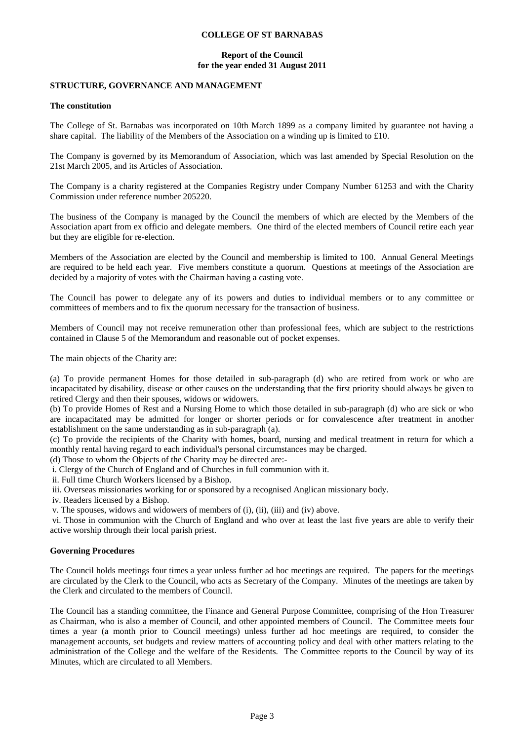## **Report of the Council for the year ended 31 August 2011**

## **STRUCTURE, GOVERNANCE AND MANAGEMENT**

#### **The constitution**

The College of St. Barnabas was incorporated on 10th March 1899 as a company limited by guarantee not having a share capital. The liability of the Members of the Association on a winding up is limited to £10.

The Company is governed by its Memorandum of Association, which was last amended by Special Resolution on the 21st March 2005, and its Articles of Association.

The Company is a charity registered at the Companies Registry under Company Number 61253 and with the Charity Commission under reference number 205220.

The business of the Company is managed by the Council the members of which are elected by the Members of the Association apart from ex officio and delegate members. One third of the elected members of Council retire each year but they are eligible for re-election.

Members of the Association are elected by the Council and membership is limited to 100. Annual General Meetings are required to be held each year. Five members constitute a quorum. Questions at meetings of the Association are decided by a majority of votes with the Chairman having a casting vote.

The Council has power to delegate any of its powers and duties to individual members or to any committee or committees of members and to fix the quorum necessary for the transaction of business.

Members of Council may not receive remuneration other than professional fees, which are subject to the restrictions contained in Clause 5 of the Memorandum and reasonable out of pocket expenses.

The main objects of the Charity are:

(a) To provide permanent Homes for those detailed in sub-paragraph (d) who are retired from work or who are incapacitated by disability, disease or other causes on the understanding that the first priority should always be given to retired Clergy and then their spouses, widows or widowers.

(b) To provide Homes of Rest and a Nursing Home to which those detailed in sub-paragraph (d) who are sick or who are incapacitated may be admitted for longer or shorter periods or for convalescence after treatment in another establishment on the same understanding as in sub-paragraph (a).

(c) To provide the recipients of the Charity with homes, board, nursing and medical treatment in return for which a monthly rental having regard to each individual's personal circumstances may be charged.

(d) Those to whom the Objects of the Charity may be directed are:-

i. Clergy of the Church of England and of Churches in full communion with it.

ii. Full time Church Workers licensed by a Bishop.

iii. Overseas missionaries working for or sponsored by a recognised Anglican missionary body.

iv. Readers licensed by a Bishop.

v. The spouses, widows and widowers of members of (i), (ii), (iii) and (iv) above.

vi. Those in communion with the Church of England and who over at least the last five years are able to verify their active worship through their local parish priest.

## **Governing Procedures**

The Council holds meetings four times a year unless further ad hoc meetings are required. The papers for the meetings are circulated by the Clerk to the Council, who acts as Secretary of the Company. Minutes of the meetings are taken by the Clerk and circulated to the members of Council.

The Council has a standing committee, the Finance and General Purpose Committee, comprising of the Hon Treasurer as Chairman, who is also a member of Council, and other appointed members of Council. The Committee meets four times a year (a month prior to Council meetings) unless further ad hoc meetings are required, to consider the management accounts, set budgets and review matters of accounting policy and deal with other matters relating to the administration of the College and the welfare of the Residents. The Committee reports to the Council by way of its Minutes, which are circulated to all Members.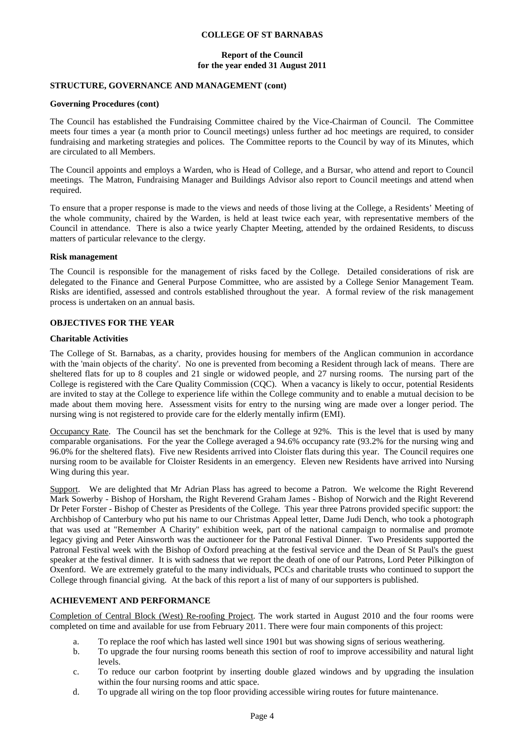## **Report of the Council for the year ended 31 August 2011**

## **STRUCTURE, GOVERNANCE AND MANAGEMENT (cont)**

#### **Governing Procedures (cont)**

The Council has established the Fundraising Committee chaired by the Vice-Chairman of Council. The Committee meets four times a year (a month prior to Council meetings) unless further ad hoc meetings are required, to consider fundraising and marketing strategies and polices. The Committee reports to the Council by way of its Minutes, which are circulated to all Members.

The Council appoints and employs a Warden, who is Head of College, and a Bursar, who attend and report to Council meetings. The Matron, Fundraising Manager and Buildings Advisor also report to Council meetings and attend when required.

To ensure that a proper response is made to the views and needs of those living at the College, a Residents' Meeting of the whole community, chaired by the Warden, is held at least twice each year, with representative members of the Council in attendance. There is also a twice yearly Chapter Meeting, attended by the ordained Residents, to discuss matters of particular relevance to the clergy.

#### **Risk management**

The Council is responsible for the management of risks faced by the College. Detailed considerations of risk are delegated to the Finance and General Purpose Committee, who are assisted by a College Senior Management Team. Risks are identified, assessed and controls established throughout the year. A formal review of the risk management process is undertaken on an annual basis.

## **OBJECTIVES FOR THE YEAR**

#### **Charitable Activities**

The College of St. Barnabas, as a charity, provides housing for members of the Anglican communion in accordance with the 'main objects of the charity'. No one is prevented from becoming a Resident through lack of means. There are sheltered flats for up to 8 couples and 21 single or widowed people, and 27 nursing rooms. The nursing part of the College is registered with the Care Quality Commission (CQC). When a vacancy is likely to occur, potential Residents are invited to stay at the College to experience life within the College community and to enable a mutual decision to be made about them moving here. Assessment visits for entry to the nursing wing are made over a longer period. The nursing wing is not registered to provide care for the elderly mentally infirm (EMI).

Occupancy Rate. The Council has set the benchmark for the College at 92%. This is the level that is used by many comparable organisations. For the year the College averaged a 94.6% occupancy rate (93.2% for the nursing wing and 96.0% for the sheltered flats). Five new Residents arrived into Cloister flats during this year. The Council requires one nursing room to be available for Cloister Residents in an emergency. Eleven new Residents have arrived into Nursing Wing during this year.

Support. We are delighted that Mr Adrian Plass has agreed to become a Patron. We welcome the Right Reverend Mark Sowerby - Bishop of Horsham, the Right Reverend Graham James - Bishop of Norwich and the Right Reverend Dr Peter Forster - Bishop of Chester as Presidents of the College. This year three Patrons provided specific support: the Archbishop of Canterbury who put his name to our Christmas Appeal letter, Dame Judi Dench, who took a photograph that was used at "Remember A Charity" exhibition week, part of the national campaign to normalise and promote legacy giving and Peter Ainsworth was the auctioneer for the Patronal Festival Dinner. Two Presidents supported the Patronal Festival week with the Bishop of Oxford preaching at the festival service and the Dean of St Paul's the guest speaker at the festival dinner. It is with sadness that we report the death of one of our Patrons, Lord Peter Pilkington of Oxenford. We are extremely grateful to the many individuals, PCCs and charitable trusts who continued to support the College through financial giving. At the back of this report a list of many of our supporters is published.

## **ACHIEVEMENT AND PERFORMANCE**

Completion of Central Block (West) Re-roofing Project. The work started in August 2010 and the four rooms were completed on time and available for use from February 2011. There were four main components of this project:

- a. To replace the roof which has lasted well since 1901 but was showing signs of serious weathering.
- b. To upgrade the four nursing rooms beneath this section of roof to improve accessibility and natural light levels.
- c. To reduce our carbon footprint by inserting double glazed windows and by upgrading the insulation within the four nursing rooms and attic space.
- d. To upgrade all wiring on the top floor providing accessible wiring routes for future maintenance.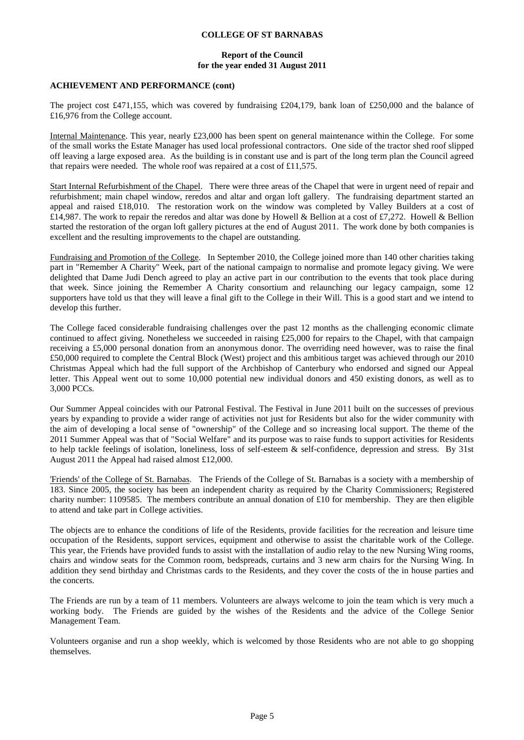### **Report of the Council for the year ended 31 August 2011**

#### **ACHIEVEMENT AND PERFORMANCE (cont)**

The project cost £471,155, which was covered by fundraising £204,179, bank loan of £250,000 and the balance of £16,976 from the College account.

Internal Maintenance. This year, nearly £23,000 has been spent on general maintenance within the College. For some of the small works the Estate Manager has used local professional contractors. One side of the tractor shed roof slipped off leaving a large exposed area. As the building is in constant use and is part of the long term plan the Council agreed that repairs were needed. The whole roof was repaired at a cost of £11,575.

Start Internal Refurbishment of the Chapel. There were three areas of the Chapel that were in urgent need of repair and refurbishment; main chapel window, reredos and altar and organ loft gallery. The fundraising department started an appeal and raised £18,010. The restoration work on the window was completed by Valley Builders at a cost of £14,987. The work to repair the reredos and altar was done by Howell & Bellion at a cost of £7,272. Howell & Bellion started the restoration of the organ loft gallery pictures at the end of August 2011. The work done by both companies is excellent and the resulting improvements to the chapel are outstanding.

Fundraising and Promotion of the College. In September 2010, the College joined more than 140 other charities taking part in "Remember A Charity" Week, part of the national campaign to normalise and promote legacy giving. We were delighted that Dame Judi Dench agreed to play an active part in our contribution to the events that took place during that week. Since joining the Remember A Charity consortium and relaunching our legacy campaign, some 12 supporters have told us that they will leave a final gift to the College in their Will. This is a good start and we intend to develop this further.

The College faced considerable fundraising challenges over the past 12 months as the challenging economic climate continued to affect giving. Nonetheless we succeeded in raising £25,000 for repairs to the Chapel, with that campaign receiving a £5,000 personal donation from an anonymous donor. The overriding need however, was to raise the final £50,000 required to complete the Central Block (West) project and this ambitious target was achieved through our 2010 Christmas Appeal which had the full support of the Archbishop of Canterbury who endorsed and signed our Appeal letter. This Appeal went out to some 10,000 potential new individual donors and 450 existing donors, as well as to 3,000 PCCs.

Our Summer Appeal coincides with our Patronal Festival. The Festival in June 2011 built on the successes of previous years by expanding to provide a wider range of activities not just for Residents but also for the wider community with the aim of developing a local sense of "ownership" of the College and so increasing local support. The theme of the 2011 Summer Appeal was that of "Social Welfare" and its purpose was to raise funds to support activities for Residents to help tackle feelings of isolation, loneliness, loss of self-esteem & self-confidence, depression and stress. By 31st August 2011 the Appeal had raised almost £12,000.

'Friends' of the College of St. Barnabas. The Friends of the College of St. Barnabas is a society with a membership of 183. Since 2005, the society has been an independent charity as required by the Charity Commissioners; Registered charity number: 1109585. The members contribute an annual donation of £10 for membership. They are then eligible to attend and take part in College activities.

The objects are to enhance the conditions of life of the Residents, provide facilities for the recreation and leisure time occupation of the Residents, support services, equipment and otherwise to assist the charitable work of the College. This year, the Friends have provided funds to assist with the installation of audio relay to the new Nursing Wing rooms, chairs and window seats for the Common room, bedspreads, curtains and 3 new arm chairs for the Nursing Wing. In addition they send birthday and Christmas cards to the Residents, and they cover the costs of the in house parties and the concerts.

The Friends are run by a team of 11 members. Volunteers are always welcome to join the team which is very much a working body. The Friends are guided by the wishes of the Residents and the advice of the College Senior Management Team.

Volunteers organise and run a shop weekly, which is welcomed by those Residents who are not able to go shopping themselves.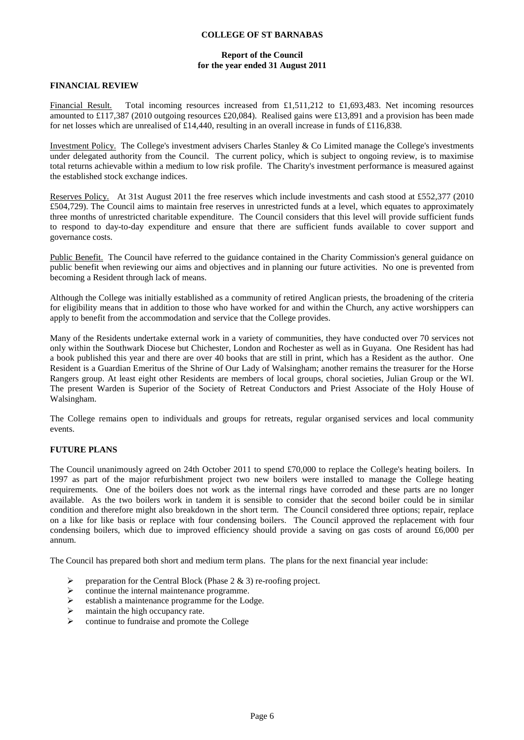## **Report of the Council for the year ended 31 August 2011**

### **FINANCIAL REVIEW**

Financial Result. Total incoming resources increased from £1,511,212 to £1,693,483. Net incoming resources amounted to £117,387 (2010 outgoing resources £20,084). Realised gains were £13,891 and a provision has been made for net losses which are unrealised of £14,440, resulting in an overall increase in funds of £116,838.

Investment Policy. The College's investment advisers Charles Stanley & Co Limited manage the College's investments under delegated authority from the Council. The current policy, which is subject to ongoing review, is to maximise total returns achievable within a medium to low risk profile. The Charity's investment performance is measured against the established stock exchange indices.

Reserves Policy. At 31st August 2011 the free reserves which include investments and cash stood at £552,377 (2010) £504,729). The Council aims to maintain free reserves in unrestricted funds at a level, which equates to approximately three months of unrestricted charitable expenditure. The Council considers that this level will provide sufficient funds to respond to day-to-day expenditure and ensure that there are sufficient funds available to cover support and governance costs.

Public Benefit. The Council have referred to the guidance contained in the Charity Commission's general guidance on public benefit when reviewing our aims and objectives and in planning our future activities. No one is prevented from becoming a Resident through lack of means.

Although the College was initially established as a community of retired Anglican priests, the broadening of the criteria for eligibility means that in addition to those who have worked for and within the Church, any active worshippers can apply to benefit from the accommodation and service that the College provides.

Many of the Residents undertake external work in a variety of communities, they have conducted over 70 services not only within the Southwark Diocese but Chichester, London and Rochester as well as in Guyana. One Resident has had a book published this year and there are over 40 books that are still in print, which has a Resident as the author. One Resident is a Guardian Emeritus of the Shrine of Our Lady of Walsingham; another remains the treasurer for the Horse Rangers group. At least eight other Residents are members of local groups, choral societies, Julian Group or the WI. The present Warden is Superior of the Society of Retreat Conductors and Priest Associate of the Holy House of Walsingham.

The College remains open to individuals and groups for retreats, regular organised services and local community events.

## **FUTURE PLANS**

The Council unanimously agreed on 24th October 2011 to spend £70,000 to replace the College's heating boilers. In 1997 as part of the major refurbishment project two new boilers were installed to manage the College heating requirements. One of the boilers does not work as the internal rings have corroded and these parts are no longer available. As the two boilers work in tandem it is sensible to consider that the second boiler could be in similar condition and therefore might also breakdown in the short term. The Council considered three options; repair, replace on a like for like basis or replace with four condensing boilers. The Council approved the replacement with four condensing boilers, which due to improved efficiency should provide a saving on gas costs of around £6,000 per annum.

The Council has prepared both short and medium term plans. The plans for the next financial year include:

- P preparation for the Central Block (Phase  $2 \& 3$ ) re-roofing project.
- $\triangleright$  continue the internal maintenance programme.<br>  $\triangleright$  establish a maintenance programme for the Lo
- establish a maintenance programme for the Lodge.
- $\triangleright$  maintain the high occupancy rate.
- $\triangleright$  continue to fundraise and promote the College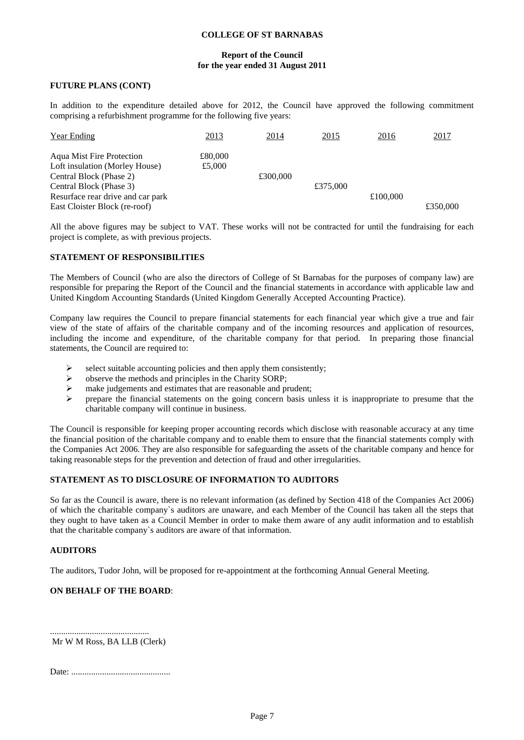## **Report of the Council for the year ended 31 August 2011**

### **FUTURE PLANS (CONT)**

In addition to the expenditure detailed above for 2012, the Council have approved the following commitment comprising a refurbishment programme for the following five years:

| <b>Year Ending</b>                | 2013    | 2014     | <u>2015</u> | 2016     | 2017     |
|-----------------------------------|---------|----------|-------------|----------|----------|
| <b>Aqua Mist Fire Protection</b>  | £80,000 |          |             |          |          |
| Loft insulation (Morley House)    | £5,000  |          |             |          |          |
| Central Block (Phase 2)           |         | £300,000 |             |          |          |
| Central Block (Phase 3)           |         |          | £375,000    |          |          |
| Resurface rear drive and car park |         |          |             | £100,000 |          |
| East Cloister Block (re-roof)     |         |          |             |          | £350,000 |

All the above figures may be subject to VAT. These works will not be contracted for until the fundraising for each project is complete, as with previous projects.

#### **STATEMENT OF RESPONSIBILITIES**

The Members of Council (who are also the directors of College of St Barnabas for the purposes of company law) are responsible for preparing the Report of the Council and the financial statements in accordance with applicable law and United Kingdom Accounting Standards (United Kingdom Generally Accepted Accounting Practice).

Company law requires the Council to prepare financial statements for each financial year which give a true and fair view of the state of affairs of the charitable company and of the incoming resources and application of resources, including the income and expenditure, of the charitable company for that period. In preparing those financial statements, the Council are required to:

- $\triangleright$  select suitable accounting policies and then apply them consistently;
- $\triangleright$  observe the methods and principles in the Charity SORP;<br> $\triangleright$  make judgements and estimates that are reasonable and pr
- make judgements and estimates that are reasonable and prudent;
- $\triangleright$  prepare the financial statements on the going concern basis unless it is inappropriate to presume that the charitable company will continue in business.

The Council is responsible for keeping proper accounting records which disclose with reasonable accuracy at any time the financial position of the charitable company and to enable them to ensure that the financial statements comply with the Companies Act 2006. They are also responsible for safeguarding the assets of the charitable company and hence for taking reasonable steps for the prevention and detection of fraud and other irregularities.

## **STATEMENT AS TO DISCLOSURE OF INFORMATION TO AUDITORS**

So far as the Council is aware, there is no relevant information (as defined by Section 418 of the Companies Act 2006) of which the charitable company`s auditors are unaware, and each Member of the Council has taken all the steps that they ought to have taken as a Council Member in order to make them aware of any audit information and to establish that the charitable company`s auditors are aware of that information.

#### **AUDITORS**

The auditors, Tudor John, will be proposed for re-appointment at the forthcoming Annual General Meeting.

## **ON BEHALF OF THE BOARD**:

Mr W M Ross, BA LLB (Clerk)

.............................................

Date: .............................................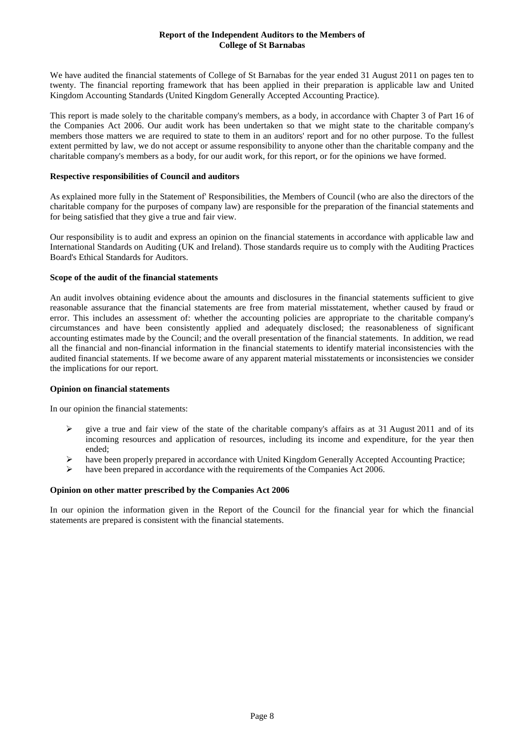## **Report of the Independent Auditors to the Members of College of St Barnabas**

We have audited the financial statements of College of St Barnabas for the year ended 31 August 2011 on pages ten to twenty. The financial reporting framework that has been applied in their preparation is applicable law and United Kingdom Accounting Standards (United Kingdom Generally Accepted Accounting Practice).

This report is made solely to the charitable company's members, as a body, in accordance with Chapter 3 of Part 16 of the Companies Act 2006. Our audit work has been undertaken so that we might state to the charitable company's members those matters we are required to state to them in an auditors' report and for no other purpose. To the fullest extent permitted by law, we do not accept or assume responsibility to anyone other than the charitable company and the charitable company's members as a body, for our audit work, for this report, or for the opinions we have formed.

### **Respective responsibilities of Council and auditors**

As explained more fully in the Statement of' Responsibilities, the Members of Council (who are also the directors of the charitable company for the purposes of company law) are responsible for the preparation of the financial statements and for being satisfied that they give a true and fair view.

Our responsibility is to audit and express an opinion on the financial statements in accordance with applicable law and International Standards on Auditing (UK and Ireland). Those standards require us to comply with the Auditing Practices Board's Ethical Standards for Auditors.

#### **Scope of the audit of the financial statements**

An audit involves obtaining evidence about the amounts and disclosures in the financial statements sufficient to give reasonable assurance that the financial statements are free from material misstatement, whether caused by fraud or error. This includes an assessment of: whether the accounting policies are appropriate to the charitable company's circumstances and have been consistently applied and adequately disclosed; the reasonableness of significant accounting estimates made by the Council; and the overall presentation of the financial statements. In addition, we read all the financial and non-financial information in the financial statements to identify material inconsistencies with the audited financial statements. If we become aware of any apparent material misstatements or inconsistencies we consider the implications for our report.

## **Opinion on financial statements**

In our opinion the financial statements:

- give a true and fair view of the state of the charitable company's affairs as at 31 August 2011 and of its incoming resources and application of resources, including its income and expenditure, for the year then ended;
- have been properly prepared in accordance with United Kingdom Generally Accepted Accounting Practice;
- have been prepared in accordance with the requirements of the Companies Act 2006.

## **Opinion on other matter prescribed by the Companies Act 2006**

In our opinion the information given in the Report of the Council for the financial year for which the financial statements are prepared is consistent with the financial statements.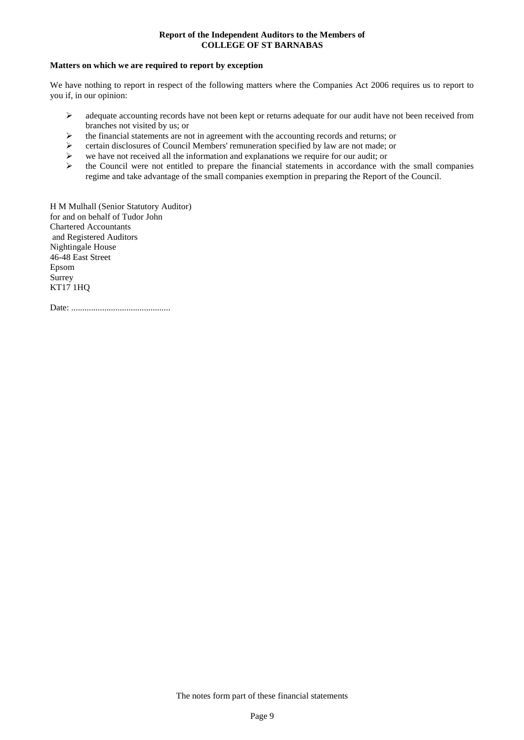## **Report of the Independent Auditors to the Members of COLLEGE OF ST BARNABAS**

### **Matters on which we are required to report by exception**

We have nothing to report in respect of the following matters where the Companies Act 2006 requires us to report to you if, in our opinion:

- $\triangleright$  adequate accounting records have not been kept or returns adequate for our audit have not been received from branches not visited by us; or
- $\triangleright$  the financial statements are not in agreement with the accounting records and returns; or
- $\triangleright$  certain disclosures of Council Members' remuneration specified by law are not made; or  $\triangleright$  we have not received all the information and explanations we require for our audit; or
- we have not received all the information and explanations we require for our audit; or
- $\triangleright$  the Council were not entitled to prepare the financial statements in accordance with the small companies regime and take advantage of the small companies exemption in preparing the Report of the Council.

H M Mulhall (Senior Statutory Auditor) for and on behalf of Tudor John Chartered Accountants and Registered Auditors Nightingale House 46-48 East Street Epsom Surrey KT17 1HQ

Date: .............................................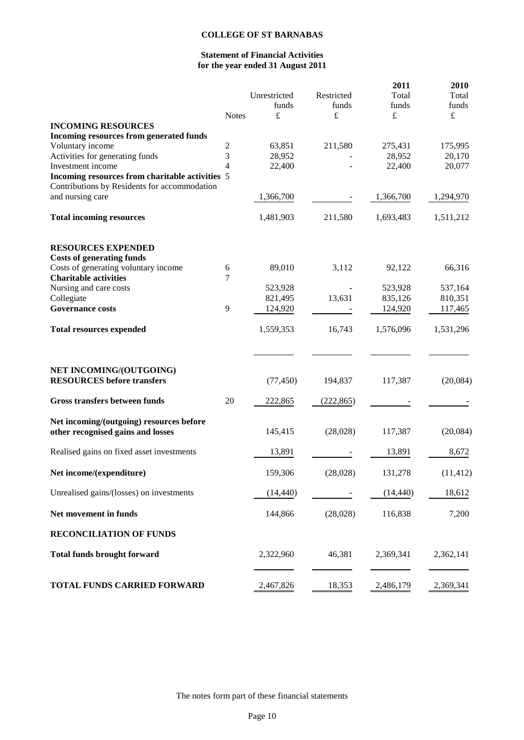## **Statement of Financial Activities for the year ended 31 August 2011**

| <b>INCOMING RESOURCES</b><br><b>Incoming resources from generated funds</b><br>Voluntary income<br>Activities for generating funds<br>Investment income | <b>Notes</b><br>$\overline{c}$<br>3<br>$\overline{4}$ | Unrestricted<br>funds<br>£<br>63,851<br>28,952<br>22,400 | Restricted<br>funds<br>$\pounds$<br>211,580 | 2011<br>Total<br>funds<br>$\pounds$<br>275,431<br>28,952<br>22,400 | 2010<br>Total<br>funds<br>$\pounds$<br>175,995<br>20,170<br>20,077 |
|---------------------------------------------------------------------------------------------------------------------------------------------------------|-------------------------------------------------------|----------------------------------------------------------|---------------------------------------------|--------------------------------------------------------------------|--------------------------------------------------------------------|
| Incoming resources from charitable activities 5                                                                                                         |                                                       |                                                          |                                             |                                                                    |                                                                    |
| Contributions by Residents for accommodation<br>and nursing care                                                                                        |                                                       | 1,366,700                                                |                                             | 1,366,700                                                          | 1,294,970                                                          |
| <b>Total incoming resources</b>                                                                                                                         |                                                       | 1,481,903                                                | 211,580                                     | 1,693,483                                                          | 1,511,212                                                          |
| <b>RESOURCES EXPENDED</b><br><b>Costs of generating funds</b>                                                                                           |                                                       |                                                          |                                             |                                                                    |                                                                    |
| Costs of generating voluntary income<br><b>Charitable activities</b>                                                                                    | 6<br>7                                                | 89,010                                                   | 3,112                                       | 92,122                                                             | 66,316                                                             |
| Nursing and care costs                                                                                                                                  |                                                       | 523,928                                                  |                                             | 523,928                                                            | 537,164                                                            |
| Collegiate                                                                                                                                              |                                                       | 821,495                                                  | 13,631                                      | 835,126                                                            | 810,351                                                            |
| <b>Governance costs</b>                                                                                                                                 | 9                                                     | 124,920                                                  |                                             | 124,920                                                            | 117,465                                                            |
| <b>Total resources expended</b>                                                                                                                         |                                                       | 1,559,353                                                | 16,743                                      | 1,576,096                                                          | 1,531,296                                                          |
| NET INCOMING/(OUTGOING)<br><b>RESOURCES</b> before transfers                                                                                            |                                                       | (77, 450)                                                | 194,837                                     | 117,387                                                            | (20,084)                                                           |
|                                                                                                                                                         |                                                       |                                                          |                                             |                                                                    |                                                                    |
| Gross transfers between funds                                                                                                                           | 20                                                    | 222,865                                                  | (222, 865)                                  |                                                                    |                                                                    |
| Net incoming/(outgoing) resources before<br>other recognised gains and losses                                                                           |                                                       | 145,415                                                  | (28,028)                                    | 117,387                                                            | (20,084)                                                           |
| Realised gains on fixed asset investments                                                                                                               |                                                       | 13,891                                                   |                                             | 13,891                                                             | 8,672                                                              |
| Net income/(expenditure)                                                                                                                                |                                                       | 159,306                                                  | (28, 028)                                   | 131,278                                                            | (11, 412)                                                          |
| Unrealised gains/(losses) on investments                                                                                                                |                                                       | (14, 440)                                                |                                             | (14, 440)                                                          | 18,612                                                             |
| Net movement in funds                                                                                                                                   |                                                       | 144,866                                                  | (28,028)                                    | 116,838                                                            | 7,200                                                              |
| <b>RECONCILIATION OF FUNDS</b>                                                                                                                          |                                                       |                                                          |                                             |                                                                    |                                                                    |
| <b>Total funds brought forward</b>                                                                                                                      |                                                       | 2,322,960                                                | 46,381                                      | 2,369,341                                                          | 2,362,141                                                          |
| <b>TOTAL FUNDS CARRIED FORWARD</b>                                                                                                                      |                                                       | 2,467,826                                                | 18,353                                      | 2,486,179                                                          | 2,369,341                                                          |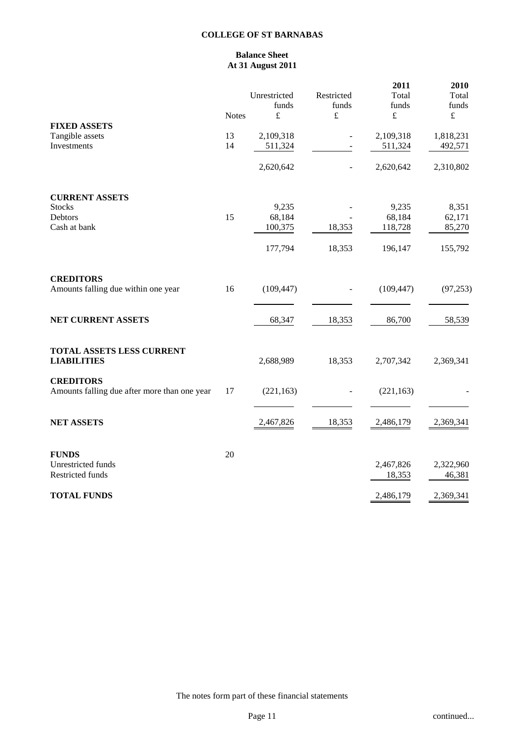## **Balance Sheet At 31 August 2011**

|                                                                  | <b>Notes</b> | Unrestricted<br>funds<br>$\pounds$ | Restricted<br>funds<br>$\pounds$ | 2011<br>Total<br>funds<br>$\pounds$ | 2010<br>Total<br>funds<br>$\pounds$ |
|------------------------------------------------------------------|--------------|------------------------------------|----------------------------------|-------------------------------------|-------------------------------------|
| <b>FIXED ASSETS</b><br>Tangible assets<br>Investments            | 13<br>14     | 2,109,318<br>511,324               |                                  | 2,109,318<br>511,324                | 1,818,231<br>492,571                |
|                                                                  |              | 2,620,642                          | $\overline{\phantom{a}}$         | 2,620,642                           | 2,310,802                           |
| <b>CURRENT ASSETS</b><br><b>Stocks</b>                           |              | 9,235                              |                                  | 9,235                               | 8,351                               |
| Debtors                                                          | 15           | 68,184                             |                                  | 68,184                              | 62,171                              |
| Cash at bank                                                     |              | 100,375                            | 18,353                           | 118,728                             | 85,270                              |
|                                                                  |              | 177,794                            | 18,353                           | 196,147                             | 155,792                             |
| <b>CREDITORS</b>                                                 |              |                                    |                                  |                                     |                                     |
| Amounts falling due within one year                              | 16           | (109, 447)                         |                                  | (109, 447)                          | (97, 253)                           |
| NET CURRENT ASSETS                                               |              | 68,347                             | 18,353                           | 86,700                              | 58,539                              |
| TOTAL ASSETS LESS CURRENT<br><b>LIABILITIES</b>                  |              | 2,688,989                          | 18,353                           | 2,707,342                           | 2,369,341                           |
| <b>CREDITORS</b><br>Amounts falling due after more than one year | 17           | (221, 163)                         |                                  | (221, 163)                          |                                     |
| <b>NET ASSETS</b>                                                |              | 2,467,826                          | 18,353                           | 2,486,179                           | 2,369,341                           |
| <b>FUNDS</b>                                                     | 20           |                                    |                                  |                                     |                                     |
| Unrestricted funds<br>Restricted funds                           |              |                                    |                                  | 2,467,826<br>18,353                 | 2,322,960<br>46,381                 |
| <b>TOTAL FUNDS</b>                                               |              |                                    |                                  | 2,486,179                           | 2,369,341                           |

The notes form part of these financial statements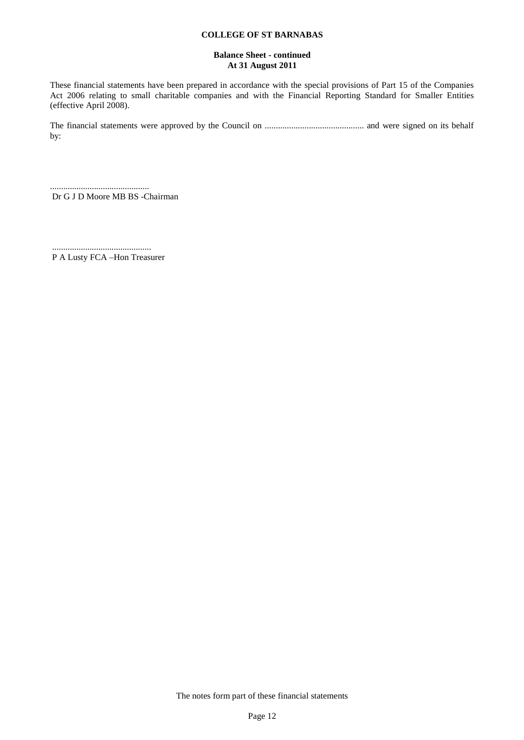## **Balance Sheet - continued At 31 August 2011**

These financial statements have been prepared in accordance with the special provisions of Part 15 of the Companies Act 2006 relating to small charitable companies and with the Financial Reporting Standard for Smaller Entities (effective April 2008).

The financial statements were approved by the Council on ............................................. and were signed on its behalf by:

............................................. Dr G J D Moore MB BS -Chairman

............................................. P A Lusty FCA –Hon Treasurer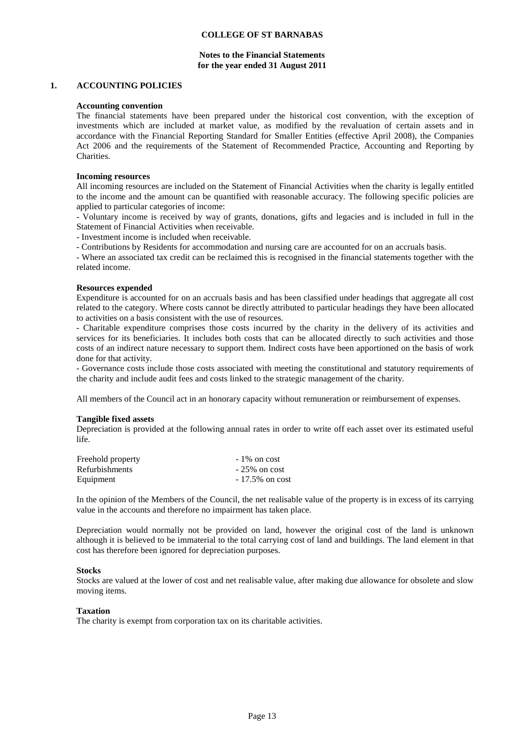## **Notes to the Financial Statements for the year ended 31 August 2011**

#### **1. ACCOUNTING POLICIES**

#### **Accounting convention**

The financial statements have been prepared under the historical cost convention, with the exception of investments which are included at market value, as modified by the revaluation of certain assets and in accordance with the Financial Reporting Standard for Smaller Entities (effective April 2008), the Companies Act 2006 and the requirements of the Statement of Recommended Practice, Accounting and Reporting by Charities.

#### **Incoming resources**

All incoming resources are included on the Statement of Financial Activities when the charity is legally entitled to the income and the amount can be quantified with reasonable accuracy. The following specific policies are applied to particular categories of income:

- Voluntary income is received by way of grants, donations, gifts and legacies and is included in full in the Statement of Financial Activities when receivable.

- Investment income is included when receivable.

- Contributions by Residents for accommodation and nursing care are accounted for on an accruals basis.

- Where an associated tax credit can be reclaimed this is recognised in the financial statements together with the related income.

#### **Resources expended**

Expenditure is accounted for on an accruals basis and has been classified under headings that aggregate all cost related to the category. Where costs cannot be directly attributed to particular headings they have been allocated to activities on a basis consistent with the use of resources.

- Charitable expenditure comprises those costs incurred by the charity in the delivery of its activities and services for its beneficiaries. It includes both costs that can be allocated directly to such activities and those costs of an indirect nature necessary to support them. Indirect costs have been apportioned on the basis of work done for that activity.

- Governance costs include those costs associated with meeting the constitutional and statutory requirements of the charity and include audit fees and costs linked to the strategic management of the charity.

All members of the Council act in an honorary capacity without remuneration or reimbursement of expenses.

## **Tangible fixed assets**

Depreciation is provided at the following annual rates in order to write off each asset over its estimated useful life.

| Freehold property     | $-1\%$ on cost    |
|-----------------------|-------------------|
| <b>Refurbishments</b> | $-25\%$ on cost   |
| Equipment             | $-17.5\%$ on cost |

In the opinion of the Members of the Council, the net realisable value of the property is in excess of its carrying value in the accounts and therefore no impairment has taken place.

Depreciation would normally not be provided on land, however the original cost of the land is unknown although it is believed to be immaterial to the total carrying cost of land and buildings. The land element in that cost has therefore been ignored for depreciation purposes.

## **Stocks**

Stocks are valued at the lower of cost and net realisable value, after making due allowance for obsolete and slow moving items.

#### **Taxation**

The charity is exempt from corporation tax on its charitable activities.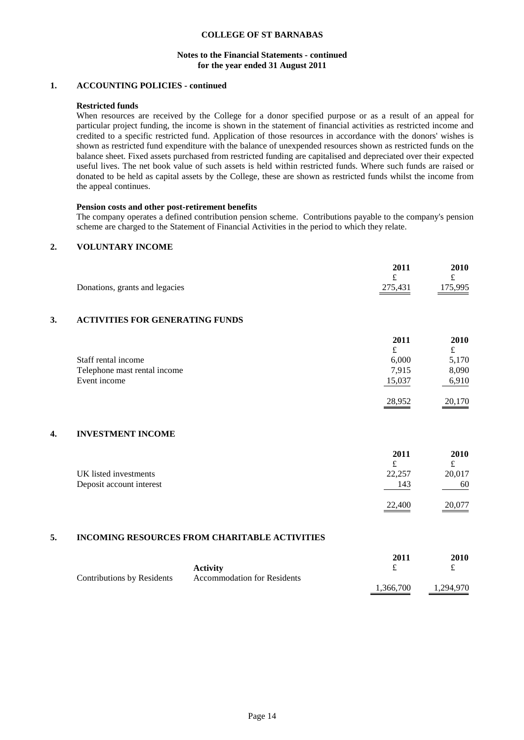### **Notes to the Financial Statements - continued for the year ended 31 August 2011**

## **1. ACCOUNTING POLICIES - continued**

## **Restricted funds**

When resources are received by the College for a donor specified purpose or as a result of an appeal for particular project funding, the income is shown in the statement of financial activities as restricted income and credited to a specific restricted fund. Application of those resources in accordance with the donors' wishes is shown as restricted fund expenditure with the balance of unexpended resources shown as restricted funds on the balance sheet. Fixed assets purchased from restricted funding are capitalised and depreciated over their expected useful lives. The net book value of such assets is held within restricted funds. Where such funds are raised or donated to be held as capital assets by the College, these are shown as restricted funds whilst the income from the appeal continues.

#### **Pension costs and other post-retirement benefits**

The company operates a defined contribution pension scheme. Contributions payable to the company's pension scheme are charged to the Statement of Financial Activities in the period to which they relate.

## **2. VOLUNTARY INCOME**

|    | Donations, grants and legacies         | 2011<br>£<br>275,431 | 2010<br>£<br>175,995 |
|----|----------------------------------------|----------------------|----------------------|
| 3. | <b>ACTIVITIES FOR GENERATING FUNDS</b> |                      |                      |
|    |                                        | 2011                 | <b>2010</b>          |
|    |                                        | £                    | £                    |
|    | Staff rental income                    | 6,000                | 5,170                |
|    | Telephone mast rental income           | 7,915                | 8,090                |
|    | Event income                           | 15,037               | 6,910                |
|    |                                        | 28,952               | 20,170               |
| 4. | <b>INVESTMENT INCOME</b>               |                      |                      |
|    |                                        | 2011                 | 2010                 |

|                          | 2011   | 2010                    |
|--------------------------|--------|-------------------------|
|                          | £      |                         |
| UK listed investments    | 22,257 | 20,017                  |
| Deposit account interest | 143    | 60                      |
|                          | 22,400 | 20,077<br>$\sim$ $\sim$ |

## **5. INCOMING RESOURCES FROM CHARITABLE ACTIVITIES**

|                            |                                    | 2011      | 2010      |
|----------------------------|------------------------------------|-----------|-----------|
|                            | <b>Activity</b>                    |           |           |
| Contributions by Residents | <b>Accommodation for Residents</b> |           |           |
|                            |                                    | 1.366.700 | 1,294,970 |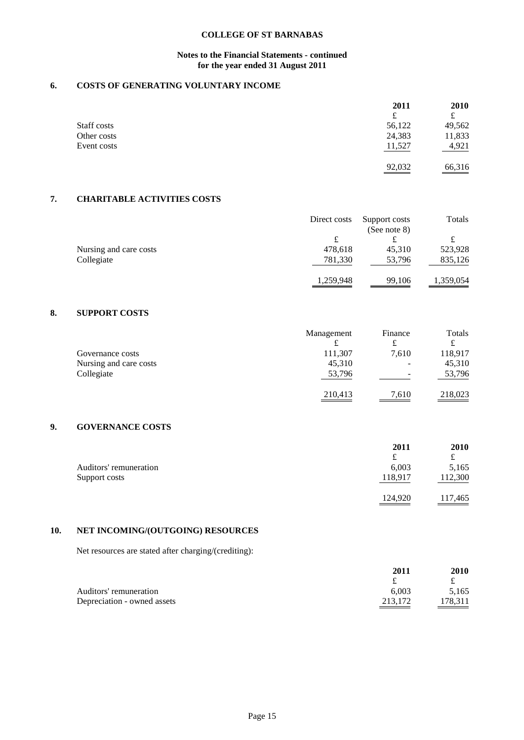## **Notes to the Financial Statements - continued for the year ended 31 August 2011**

## **6. COSTS OF GENERATING VOLUNTARY INCOME**

|             | 2011   | 2010   |
|-------------|--------|--------|
|             | £      |        |
| Staff costs | 56,122 | 49,562 |
| Other costs | 24,383 | 11,833 |
| Event costs | 11,527 | 4,921  |
|             | 92,032 | 66,316 |

## **7. CHARITABLE ACTIVITIES COSTS**

|                        | Direct costs | Support costs<br>(See note $8$ ) | Totals    |
|------------------------|--------------|----------------------------------|-----------|
|                        | £            | £                                |           |
| Nursing and care costs | 478,618      | 45.310                           | 523,928   |
| Collegiate             | 781,330      | 53,796                           | 835,126   |
|                        | 1,259,948    | 99,106                           | 1,359,054 |

## **8. SUPPORT COSTS**

|                        | Management | Finance | Totals  |
|------------------------|------------|---------|---------|
|                        | £          | £       | ┻       |
| Governance costs       | 111,307    | 7,610   | 118,917 |
| Nursing and care costs | 45,310     | -       | 45,310  |
| Collegiate             | 53,796     | -       | 53,796  |
|                        | 210,413    | 7.610   | 218,023 |

## **9. GOVERNANCE COSTS**

|                        | 2011    | 2010    |
|------------------------|---------|---------|
|                        | £       | £       |
| Auditors' remuneration | 6,003   | 5,165   |
| Support costs          | 118,917 | 112,300 |
|                        |         |         |
|                        | 124,920 | 117,465 |

## **10. NET INCOMING/(OUTGOING) RESOURCES**

Net resources are stated after charging/(crediting):

|                             | 2011    | 2010    |
|-----------------------------|---------|---------|
|                             |         |         |
| Auditors' remuneration      | 6.003   | 5.165   |
| Depreciation - owned assets | 213.172 | 178.311 |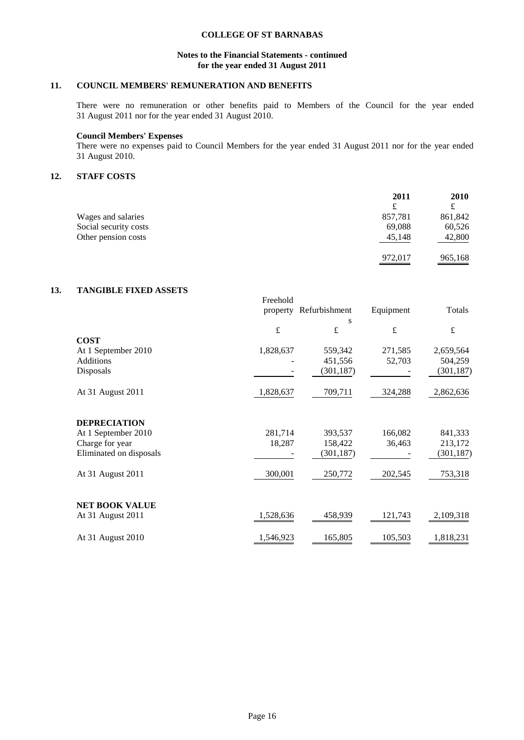## **Notes to the Financial Statements - continued for the year ended 31 August 2011**

## **11. COUNCIL MEMBERS' REMUNERATION AND BENEFITS**

There were no remuneration or other benefits paid to Members of the Council for the year ended 31 August 2011 nor for the year ended 31 August 2010.

### **Council Members' Expenses**

There were no expenses paid to Council Members for the year ended 31 August 2011 nor for the year ended 31 August 2010.

## **12. STAFF COSTS**

|                       | 2011    | <b>2010</b> |
|-----------------------|---------|-------------|
|                       | £       | ┻           |
| Wages and salaries    | 857,781 | 861,842     |
| Social security costs | 69.088  | 60,526      |
| Other pension costs   | 45,148  | 42,800      |
|                       | 972,017 | 965,168     |

## **13. TANGIBLE FIXED ASSETS**

|                         | Freehold  |               |           |            |
|-------------------------|-----------|---------------|-----------|------------|
|                         | property  | Refurbishment | Equipment | Totals     |
|                         |           | s             |           |            |
|                         | $\pounds$ | £             | $\pounds$ | £          |
| <b>COST</b>             |           |               |           |            |
| At 1 September 2010     | 1,828,637 | 559,342       | 271,585   | 2,659,564  |
| <b>Additions</b>        |           | 451,556       | 52,703    | 504,259    |
| Disposals               |           | (301, 187)    |           | (301, 187) |
|                         |           |               |           |            |
| At 31 August 2011       | 1,828,637 | 709,711       | 324,288   | 2,862,636  |
|                         |           |               |           |            |
| <b>DEPRECIATION</b>     |           |               |           |            |
| At 1 September 2010     | 281,714   | 393,537       | 166,082   | 841,333    |
| Charge for year         | 18,287    | 158,422       | 36,463    | 213,172    |
| Eliminated on disposals |           | (301, 187)    |           | (301, 187) |
|                         |           |               |           |            |
| At 31 August 2011       | 300,001   | 250,772       | 202,545   | 753,318    |
|                         |           |               |           |            |
| <b>NET BOOK VALUE</b>   |           |               |           |            |
| At 31 August 2011       | 1,528,636 | 458,939       | 121,743   | 2,109,318  |
|                         |           |               |           |            |
| At 31 August 2010       | 1,546,923 | 165,805       | 105,503   | 1,818,231  |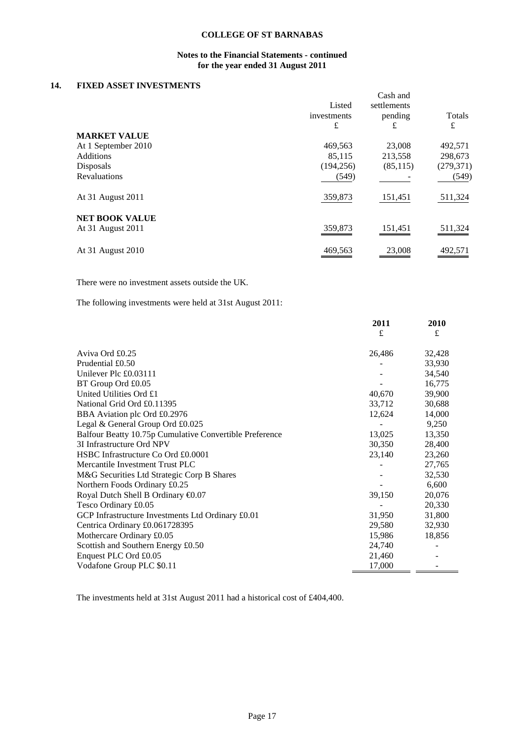## **Notes to the Financial Statements - continued for the year ended 31 August 2011**

## **14. FIXED ASSET INVESTMENTS**

| гілер Аборі Ің геотипенто |                            |                                         |             |
|---------------------------|----------------------------|-----------------------------------------|-------------|
|                           | Listed<br>investments<br>£ | Cash and<br>settlements<br>pending<br>£ | Totals<br>£ |
| <b>MARKET VALUE</b>       |                            |                                         |             |
| At 1 September 2010       | 469,563                    | 23,008                                  | 492,571     |
| <b>Additions</b>          | 85,115                     | 213,558                                 | 298,673     |
| Disposals                 | (194, 256)                 | (85, 115)                               | (279, 371)  |
| Revaluations              | (549)                      |                                         | (549)       |
| At 31 August 2011         | 359,873                    | 151,451                                 | 511,324     |
| <b>NET BOOK VALUE</b>     |                            |                                         |             |
| At 31 August 2011         | 359,873                    | 151,451                                 | 511,324     |
| At 31 August 2010         | 469,563                    | 23,008                                  | 492,571     |

There were no investment assets outside the UK.

The following investments were held at 31st August 2011:

|                                                         | 2011   | 2010   |
|---------------------------------------------------------|--------|--------|
|                                                         | £      | £      |
| Aviva Ord £0.25                                         | 26,486 | 32,428 |
| Prudential £0.50                                        |        | 33,930 |
| Unilever Plc £0.03111                                   |        | 34,540 |
| BT Group Ord £0.05                                      |        | 16,775 |
| United Utilities Ord £1                                 | 40,670 | 39,900 |
| National Grid Ord £0.11395                              | 33,712 | 30,688 |
| BBA Aviation plc Ord £0.2976                            | 12,624 | 14,000 |
| Legal & General Group Ord £0.025                        |        | 9,250  |
| Balfour Beatty 10.75p Cumulative Convertible Preference | 13,025 | 13,350 |
| 3I Infrastructure Ord NPV                               | 30,350 | 28,400 |
| HSBC Infrastructure Co Ord £0.0001                      | 23,140 | 23,260 |
| Mercantile Investment Trust PLC                         |        | 27,765 |
| M&G Securities Ltd Strategic Corp B Shares              |        | 32,530 |
| Northern Foods Ordinary £0.25                           |        | 6,600  |
| Royal Dutch Shell B Ordinary €0.07                      | 39,150 | 20,076 |
| Tesco Ordinary £0.05                                    |        | 20,330 |
| GCP Infrastructure Investments Ltd Ordinary £0.01       | 31,950 | 31,800 |
| Centrica Ordinary £0.061728395                          | 29,580 | 32,930 |
| Mothercare Ordinary £0.05                               | 15,986 | 18,856 |
| Scottish and Southern Energy £0.50                      | 24,740 |        |
| Enquest PLC Ord £0.05                                   | 21,460 |        |
| Vodafone Group PLC \$0.11                               | 17,000 |        |
|                                                         |        |        |

The investments held at 31st August 2011 had a historical cost of £404,400.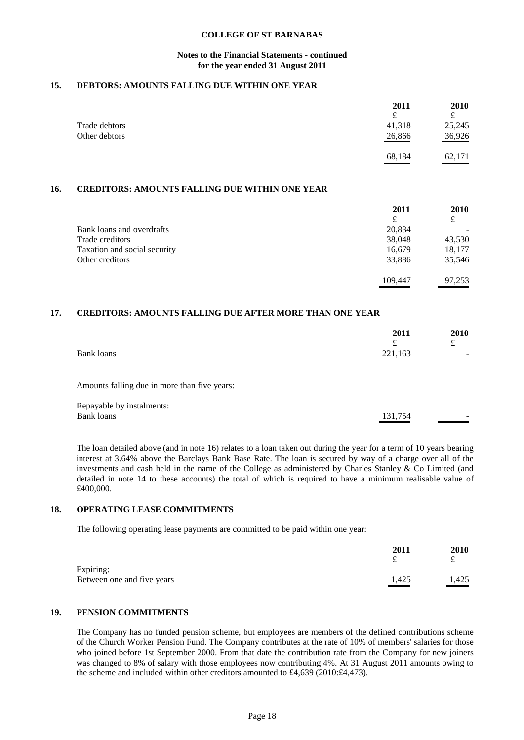#### **Notes to the Financial Statements - continued for the year ended 31 August 2011**

## **15. DEBTORS: AMOUNTS FALLING DUE WITHIN ONE YEAR**

|               | 2011   | 2010   |
|---------------|--------|--------|
|               | £      |        |
| Trade debtors | 41,318 | 25,245 |
| Other debtors | 26,866 | 36,926 |
|               | 68,184 | 62,171 |

## **16. CREDITORS: AMOUNTS FALLING DUE WITHIN ONE YEAR**

|                              | 2011    | 2010   |
|------------------------------|---------|--------|
|                              | £       | £      |
| Bank loans and overdrafts    | 20,834  |        |
| Trade creditors              | 38,048  | 43,530 |
| Taxation and social security | 16,679  | 18,177 |
| Other creditors              | 33,886  | 35,546 |
|                              | 109.447 | 97,253 |

## **17. CREDITORS: AMOUNTS FALLING DUE AFTER MORE THAN ONE YEAR**

| Bank loans                                     | 2011<br>$\mathbf f$<br>221,163 | 2010<br>£ |
|------------------------------------------------|--------------------------------|-----------|
| Amounts falling due in more than five years:   |                                |           |
| Repayable by instalments:<br><b>Bank loans</b> | 131,754                        |           |

The loan detailed above (and in note 16) relates to a loan taken out during the year for a term of 10 years bearing interest at 3.64% above the Barclays Bank Base Rate. The loan is secured by way of a charge over all of the investments and cash held in the name of the College as administered by Charles Stanley & Co Limited (and detailed in note 14 to these accounts) the total of which is required to have a minimum realisable value of £400,000.

## **18. OPERATING LEASE COMMITMENTS**

The following operating lease payments are committed to be paid within one year:

|                            | 2011              | <b>2010</b> |
|----------------------------|-------------------|-------------|
| Expiring:                  |                   |             |
| Between one and five years | $\frac{1,425}{1}$ | 1,425       |

## **19. PENSION COMMITMENTS**

The Company has no funded pension scheme, but employees are members of the defined contributions scheme of the Church Worker Pension Fund. The Company contributes at the rate of 10% of members' salaries for those who joined before 1st September 2000. From that date the contribution rate from the Company for new joiners was changed to 8% of salary with those employees now contributing 4%. At 31 August 2011 amounts owing to the scheme and included within other creditors amounted to £4,639 (2010:£4,473).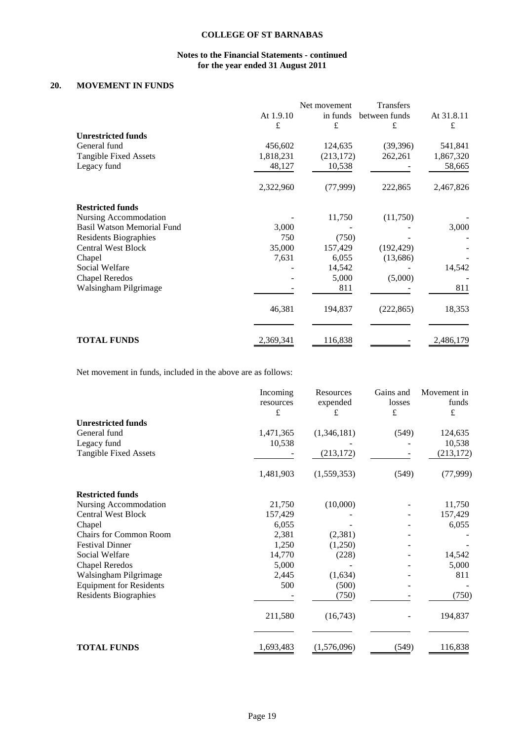## **Notes to the Financial Statements - continued for the year ended 31 August 2011**

## **20. MOVEMENT IN FUNDS**

|                                   |           | Net movement | Transfers     |            |
|-----------------------------------|-----------|--------------|---------------|------------|
|                                   | At 1.9.10 | in funds     | between funds | At 31.8.11 |
|                                   | £         | £            | £             | £          |
| <b>Unrestricted funds</b>         |           |              |               |            |
| General fund                      | 456,602   | 124,635      | (39,396)      | 541,841    |
| <b>Tangible Fixed Assets</b>      | 1,818,231 | (213, 172)   | 262,261       | 1,867,320  |
| Legacy fund                       | 48,127    | 10,538       |               | 58,665     |
|                                   | 2,322,960 | (77,999)     | 222,865       | 2,467,826  |
| <b>Restricted funds</b>           |           |              |               |            |
| Nursing Accommodation             |           | 11,750       | (11,750)      |            |
| <b>Basil Watson Memorial Fund</b> | 3,000     |              |               | 3,000      |
| <b>Residents Biographies</b>      | 750       | (750)        |               |            |
| <b>Central West Block</b>         | 35,000    | 157,429      | (192, 429)    |            |
| Chapel                            | 7,631     | 6,055        | (13,686)      |            |
| Social Welfare                    |           | 14,542       |               | 14,542     |
| <b>Chapel Reredos</b>             |           | 5,000        | (5,000)       |            |
| Walsingham Pilgrimage             |           | 811          |               | 811        |
|                                   | 46,381    | 194,837      | (222, 865)    | 18,353     |
|                                   |           |              |               |            |
| <b>TOTAL FUNDS</b>                | 2,369,341 | 116,838      |               | 2,486,179  |

Net movement in funds, included in the above are as follows:

|                                | Incoming<br>resources<br>£ | Resources<br>expended<br>£ | Gains and<br>losses<br>$\pounds$ | Movement in<br>funds<br>£ |
|--------------------------------|----------------------------|----------------------------|----------------------------------|---------------------------|
| <b>Unrestricted funds</b>      |                            |                            |                                  |                           |
| General fund                   | 1,471,365                  | (1,346,181)                | (549)                            | 124,635                   |
| Legacy fund                    | 10,538                     |                            |                                  | 10,538                    |
| <b>Tangible Fixed Assets</b>   |                            | (213, 172)                 |                                  | (213, 172)                |
|                                | 1,481,903                  | (1,559,353)                | (549)                            | (77, 999)                 |
| <b>Restricted funds</b>        |                            |                            |                                  |                           |
| Nursing Accommodation          | 21,750                     | (10,000)                   |                                  | 11,750                    |
| <b>Central West Block</b>      | 157,429                    |                            |                                  | 157,429                   |
| Chapel                         | 6,055                      |                            |                                  | 6,055                     |
| <b>Chairs for Common Room</b>  | 2,381                      | (2, 381)                   |                                  |                           |
| <b>Festival Dinner</b>         | 1,250                      | (1,250)                    |                                  |                           |
| Social Welfare                 | 14,770                     | (228)                      |                                  | 14,542                    |
| <b>Chapel Reredos</b>          | 5,000                      |                            |                                  | 5,000                     |
| Walsingham Pilgrimage          | 2,445                      | (1,634)                    |                                  | 811                       |
| <b>Equipment for Residents</b> | 500                        | (500)                      |                                  |                           |
| <b>Residents Biographies</b>   |                            | (750)                      |                                  | (750)                     |
|                                | 211,580                    | (16, 743)                  |                                  | 194,837                   |
| <b>TOTAL FUNDS</b>             | 1,693,483                  | (1,576,096)                | (549)                            | 116,838                   |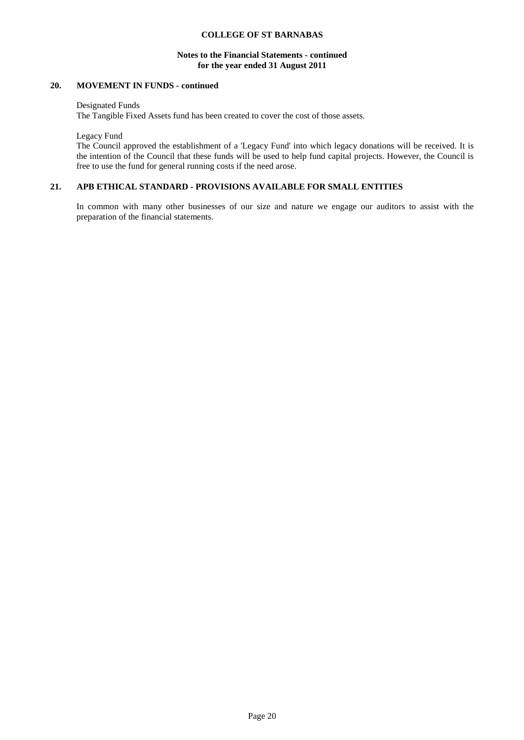### **Notes to the Financial Statements - continued for the year ended 31 August 2011**

## **20. MOVEMENT IN FUNDS - continued**

Designated Funds

The Tangible Fixed Assets fund has been created to cover the cost of those assets.

Legacy Fund

The Council approved the establishment of a 'Legacy Fund' into which legacy donations will be received. It is the intention of the Council that these funds will be used to help fund capital projects. However, the Council is free to use the fund for general running costs if the need arose.

#### **21. APB ETHICAL STANDARD - PROVISIONS AVAILABLE FOR SMALL ENTITIES**

In common with many other businesses of our size and nature we engage our auditors to assist with the preparation of the financial statements.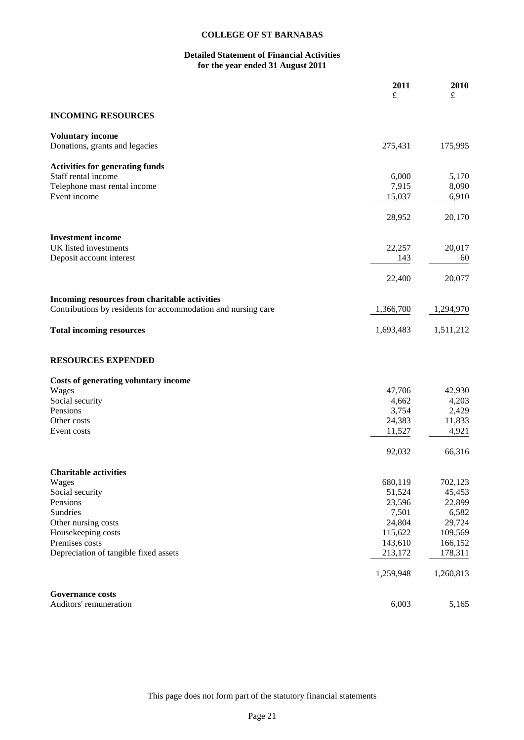## **Detailed Statement of Financial Activities for the year ended 31 August 2011**

|                                                               | 2011<br>£ | 2010<br>£ |
|---------------------------------------------------------------|-----------|-----------|
| <b>INCOMING RESOURCES</b>                                     |           |           |
|                                                               |           |           |
| <b>Voluntary income</b>                                       |           |           |
| Donations, grants and legacies                                | 275,431   | 175,995   |
| <b>Activities for generating funds</b>                        |           |           |
| Staff rental income                                           | 6,000     | 5,170     |
| Telephone mast rental income                                  | 7,915     | 8,090     |
| Event income                                                  | 15,037    | 6,910     |
|                                                               | 28,952    | 20,170    |
| <b>Investment</b> income                                      |           |           |
| UK listed investments                                         | 22,257    | 20,017    |
| Deposit account interest                                      | 143       | 60        |
|                                                               | 22,400    | 20,077    |
| Incoming resources from charitable activities                 |           |           |
| Contributions by residents for accommodation and nursing care | 1,366,700 | 1,294,970 |
| <b>Total incoming resources</b>                               | 1,693,483 | 1,511,212 |
| <b>RESOURCES EXPENDED</b>                                     |           |           |
| Costs of generating voluntary income                          |           |           |
| Wages                                                         | 47,706    | 42,930    |
| Social security                                               | 4,662     | 4,203     |
| Pensions                                                      | 3,754     | 2,429     |
| Other costs                                                   | 24,383    | 11,833    |
| Event costs                                                   | 11,527    | 4,921     |
|                                                               | 92,032    | 66,316    |
| <b>Charitable activities</b>                                  |           |           |
| Wages                                                         | 680,119   | 702,123   |
| Social security                                               | 51,524    | 45,453    |
| Pensions                                                      | 23,596    | 22,899    |
| Sundries                                                      | 7,501     | 6,582     |
| Other nursing costs                                           | 24,804    | 29,724    |
| Housekeeping costs                                            | 115,622   | 109,569   |
| Premises costs                                                | 143,610   | 166,152   |
| Depreciation of tangible fixed assets                         | 213,172   | 178,311   |
|                                                               | 1,259,948 | 1,260,813 |
| <b>Governance costs</b>                                       |           |           |
| Auditors' remuneration                                        | 6,003     | 5,165     |